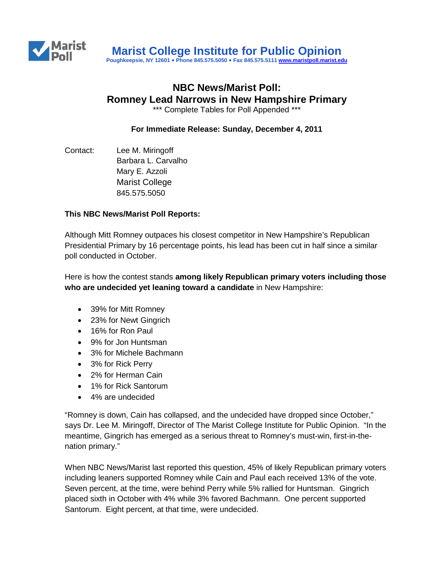

**Poughkeepsie, NY 12601 Phone 845.575.5050 Fax 845.575.5111 [www.maristpoll.marist.edu](http://www.maristpoll.marist.edu/)**

# **NBC News/Marist Poll: Romney Lead Narrows in New Hampshire Primary**

\*\*\* Complete Tables for Poll Appended \*\*\*

**For Immediate Release: Sunday, December 4, 2011**

Contact: Lee M. Miringoff Barbara L. Carvalho Mary E. Azzoli Marist College 845.575.5050

## **This NBC News/Marist Poll Reports:**

Although Mitt Romney outpaces his closest competitor in New Hampshire's Republican Presidential Primary by 16 percentage points, his lead has been cut in half since a similar poll conducted in October.

Here is how the contest stands **among likely Republican primary voters including those who are undecided yet leaning toward a candidate** in New Hampshire:

- 39% for Mitt Romney
- 23% for Newt Gingrich
- 16% for Ron Paul
- 9% for Jon Huntsman
- 3% for Michele Bachmann
- 3% for Rick Perry
- 2% for Herman Cain
- 1% for Rick Santorum
- 4% are undecided

"Romney is down, Cain has collapsed, and the undecided have dropped since October," says Dr. Lee M. Miringoff, Director of The Marist College Institute for Public Opinion. "In the meantime, Gingrich has emerged as a serious threat to Romney's must-win, first-in-thenation primary."

When NBC News/Marist last reported this question, 45% of likely Republican primary voters including leaners supported Romney while Cain and Paul each received 13% of the vote. Seven percent, at the time, were behind Perry while 5% rallied for Huntsman. Gingrich placed sixth in October with 4% while 3% favored Bachmann. One percent supported Santorum. Eight percent, at that time, were undecided.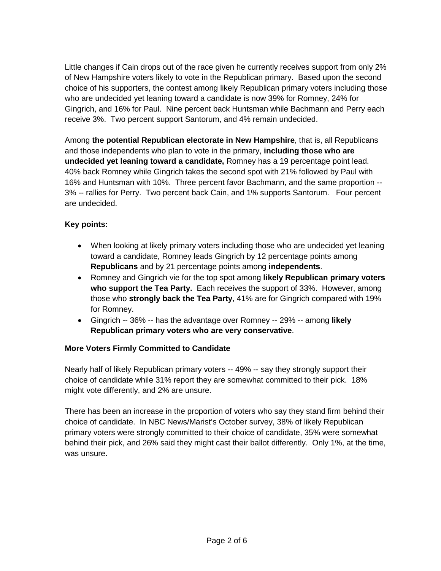Little changes if Cain drops out of the race given he currently receives support from only 2% of New Hampshire voters likely to vote in the Republican primary. Based upon the second choice of his supporters, the contest among likely Republican primary voters including those who are undecided yet leaning toward a candidate is now 39% for Romney, 24% for Gingrich, and 16% for Paul. Nine percent back Huntsman while Bachmann and Perry each receive 3%. Two percent support Santorum, and 4% remain undecided.

Among **the potential Republican electorate in New Hampshire**, that is, all Republicans and those independents who plan to vote in the primary, **including those who are undecided yet leaning toward a candidate,** Romney has a 19 percentage point lead. 40% back Romney while Gingrich takes the second spot with 21% followed by Paul with 16% and Huntsman with 10%. Three percent favor Bachmann, and the same proportion -- 3% -- rallies for Perry. Two percent back Cain, and 1% supports Santorum. Four percent are undecided.

## **Key points:**

- When looking at likely primary voters including those who are undecided yet leaning toward a candidate, Romney leads Gingrich by 12 percentage points among **Republicans** and by 21 percentage points among **independents**.
- Romney and Gingrich vie for the top spot among **likely Republican primary voters who support the Tea Party.** Each receives the support of 33%. However, among those who **strongly back the Tea Party**, 41% are for Gingrich compared with 19% for Romney.
- Gingrich -- 36% -- has the advantage over Romney -- 29% -- among **likely Republican primary voters who are very conservative**.

## **More Voters Firmly Committed to Candidate**

Nearly half of likely Republican primary voters -- 49% -- say they strongly support their choice of candidate while 31% report they are somewhat committed to their pick. 18% might vote differently, and 2% are unsure.

There has been an increase in the proportion of voters who say they stand firm behind their choice of candidate. In NBC News/Marist's October survey, 38% of likely Republican primary voters were strongly committed to their choice of candidate, 35% were somewhat behind their pick, and 26% said they might cast their ballot differently. Only 1%, at the time, was unsure.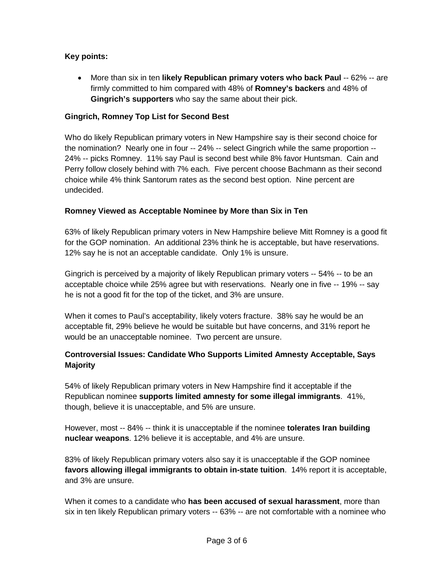## **Key points:**

• More than six in ten **likely Republican primary voters who back Paul** -- 62% -- are firmly committed to him compared with 48% of **Romney's backers** and 48% of **Gingrich's supporters** who say the same about their pick.

#### **Gingrich, Romney Top List for Second Best**

Who do likely Republican primary voters in New Hampshire say is their second choice for the nomination? Nearly one in four -- 24% -- select Gingrich while the same proportion -- 24% -- picks Romney. 11% say Paul is second best while 8% favor Huntsman. Cain and Perry follow closely behind with 7% each. Five percent choose Bachmann as their second choice while 4% think Santorum rates as the second best option. Nine percent are undecided.

#### **Romney Viewed as Acceptable Nominee by More than Six in Ten**

63% of likely Republican primary voters in New Hampshire believe Mitt Romney is a good fit for the GOP nomination. An additional 23% think he is acceptable, but have reservations. 12% say he is not an acceptable candidate. Only 1% is unsure.

Gingrich is perceived by a majority of likely Republican primary voters -- 54% -- to be an acceptable choice while 25% agree but with reservations. Nearly one in five -- 19% -- say he is not a good fit for the top of the ticket, and 3% are unsure.

When it comes to Paul's acceptability, likely voters fracture. 38% say he would be an acceptable fit, 29% believe he would be suitable but have concerns, and 31% report he would be an unacceptable nominee. Two percent are unsure.

## **Controversial Issues: Candidate Who Supports Limited Amnesty Acceptable, Says Majority**

54% of likely Republican primary voters in New Hampshire find it acceptable if the Republican nominee **supports limited amnesty for some illegal immigrants**. 41%, though, believe it is unacceptable, and 5% are unsure.

However, most -- 84% -- think it is unacceptable if the nominee **tolerates Iran building nuclear weapons**. 12% believe it is acceptable, and 4% are unsure.

83% of likely Republican primary voters also say it is unacceptable if the GOP nominee **favors allowing illegal immigrants to obtain in-state tuition**. 14% report it is acceptable, and 3% are unsure.

When it comes to a candidate who **has been accused of sexual harassment**, more than six in ten likely Republican primary voters -- 63% -- are not comfortable with a nominee who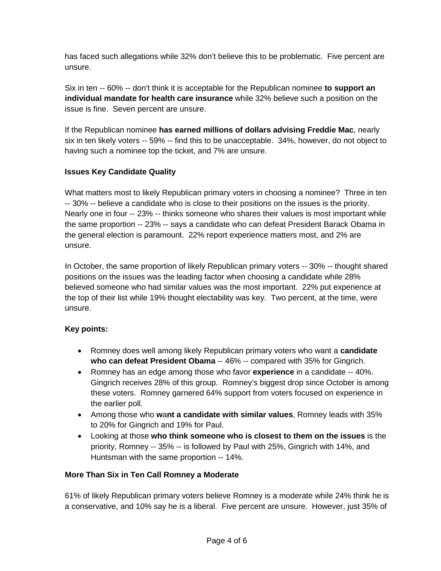has faced such allegations while 32% don't believe this to be problematic. Five percent are unsure.

Six in ten -- 60% -- don't think it is acceptable for the Republican nominee **to support an individual mandate for health care insurance** while 32% believe such a position on the issue is fine. Seven percent are unsure.

If the Republican nominee **has earned millions of dollars advising Freddie Mac**, nearly six in ten likely voters -- 59% -- find this to be unacceptable. 34%, however, do not object to having such a nominee top the ticket, and 7% are unsure.

## **Issues Key Candidate Quality**

What matters most to likely Republican primary voters in choosing a nominee? Three in ten -- 30% -- believe a candidate who is close to their positions on the issues is the priority. Nearly one in four -- 23% -- thinks someone who shares their values is most important while the same proportion -- 23% -- says a candidate who can defeat President Barack Obama in the general election is paramount. 22% report experience matters most, and 2% are unsure.

In October, the same proportion of likely Republican primary voters -- 30% -- thought shared positions on the issues was the leading factor when choosing a candidate while 28% believed someone who had similar values was the most important. 22% put experience at the top of their list while 19% thought electability was key. Two percent, at the time, were unsure.

## **Key points:**

- Romney does well among likely Republican primary voters who want a **candidate who can defeat President Obama** -- 46% -- compared with 35% for Gingrich.
- Romney has an edge among those who favor **experience** in a candidate -- 40%. Gingrich receives 28% of this group. Romney's biggest drop since October is among these voters. Romney garnered 64% support from voters focused on experience in the earlier poll.
- Among those who **w**a**nt a candidate with similar values**, Romney leads with 35% to 20% for Gingrich and 19% for Paul.
- Looking at those **who think someone who is closest to them on the issues** is the priority, Romney -- 35% -- is followed by Paul with 25%, Gingrich with 14%, and Huntsman with the same proportion -- 14%.

## **More Than Six in Ten Call Romney a Moderate**

61% of likely Republican primary voters believe Romney is a moderate while 24% think he is a conservative, and 10% say he is a liberal. Five percent are unsure. However, just 35% of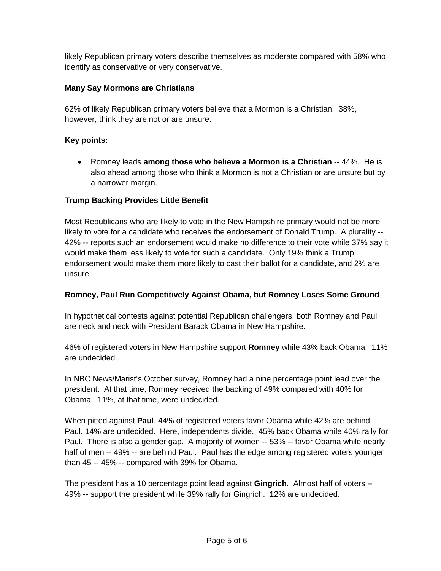likely Republican primary voters describe themselves as moderate compared with 58% who identify as conservative or very conservative.

#### **Many Say Mormons are Christians**

62% of likely Republican primary voters believe that a Mormon is a Christian. 38%, however, think they are not or are unsure.

#### **Key points:**

• Romney leads **among those who believe a Mormon is a Christian** -- 44%. He is also ahead among those who think a Mormon is not a Christian or are unsure but by a narrower margin.

#### **Trump Backing Provides Little Benefit**

Most Republicans who are likely to vote in the New Hampshire primary would not be more likely to vote for a candidate who receives the endorsement of Donald Trump. A plurality -- 42% -- reports such an endorsement would make no difference to their vote while 37% say it would make them less likely to vote for such a candidate. Only 19% think a Trump endorsement would make them more likely to cast their ballot for a candidate, and 2% are unsure.

#### **Romney, Paul Run Competitively Against Obama, but Romney Loses Some Ground**

In hypothetical contests against potential Republican challengers, both Romney and Paul are neck and neck with President Barack Obama in New Hampshire.

46% of registered voters in New Hampshire support **Romney** while 43% back Obama. 11% are undecided.

In NBC News/Marist's October survey, Romney had a nine percentage point lead over the president. At that time, Romney received the backing of 49% compared with 40% for Obama. 11%, at that time, were undecided.

When pitted against **Paul**, 44% of registered voters favor Obama while 42% are behind Paul. 14% are undecided. Here, independents divide. 45% back Obama while 40% rally for Paul. There is also a gender gap. A majority of women -- 53% -- favor Obama while nearly half of men -- 49% -- are behind Paul. Paul has the edge among registered voters younger than 45 -- 45% -- compared with 39% for Obama.

The president has a 10 percentage point lead against **Gingrich**. Almost half of voters -- 49% -- support the president while 39% rally for Gingrich. 12% are undecided.